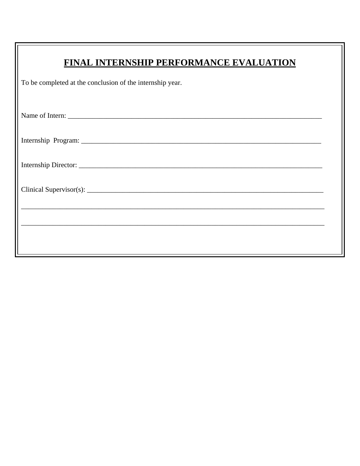| FINAL INTERNSHIP PERFORMANCE EVALUATION                                          |  |  |  |  |  |
|----------------------------------------------------------------------------------|--|--|--|--|--|
| To be completed at the conclusion of the internship year.                        |  |  |  |  |  |
| Name of Intern:                                                                  |  |  |  |  |  |
|                                                                                  |  |  |  |  |  |
|                                                                                  |  |  |  |  |  |
|                                                                                  |  |  |  |  |  |
| ,我们也不能在这里的时候,我们也不能在这里的时候,我们也不能会在这里,我们也不能会不能会不能会不能会不能会不能会不能会。""我们的是我们的,我们也不能会不能会不 |  |  |  |  |  |
|                                                                                  |  |  |  |  |  |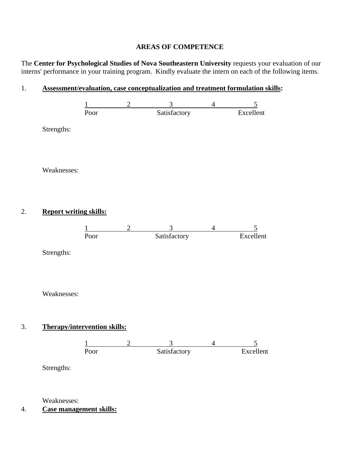## **AREAS OF COMPETENCE**

The **Center for Psychological Studies of Nova Southeastern University** requests your evaluation of our interns' performance in your training program. Kindly evaluate the intern on each of the following items.

## 1. **Assessment/evaluation, case conceptualization and treatment formulation skills:**



4. **Case management skills:**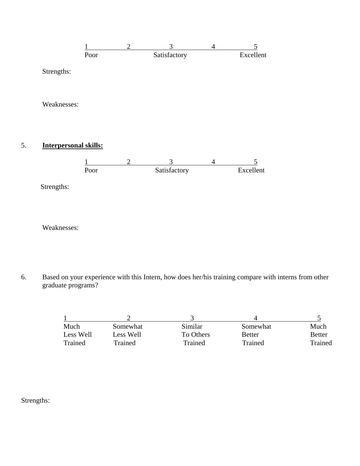

6. Based on your experience with this Intern, how does her/his training compare with interns from other graduate programs?

| Much      | Somewhat  | Similar   | Somewhat      | Much          |
|-----------|-----------|-----------|---------------|---------------|
| Less Well | Less Well | To Others | <b>Better</b> | <b>Better</b> |
| Trained   | Trained   | Trained   | Trained       | Trained       |

Strengths:

Weaknesses: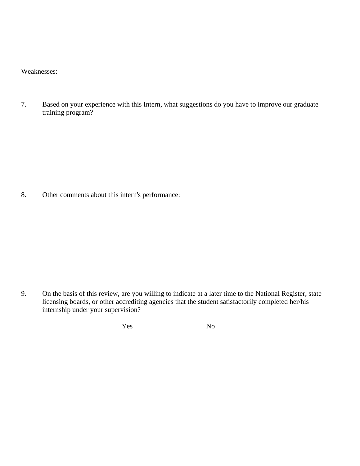Weaknesses:

7. Based on your experience with this Intern, what suggestions do you have to improve our graduate training program?

8. Other comments about this intern's performance:

9. On the basis of this review, are you willing to indicate at a later time to the National Register, state licensing boards, or other accrediting agencies that the student satisfactorily completed her/his internship under your supervision?

\_\_\_\_\_\_\_\_\_\_ Yes \_\_\_\_\_\_\_\_\_\_ No